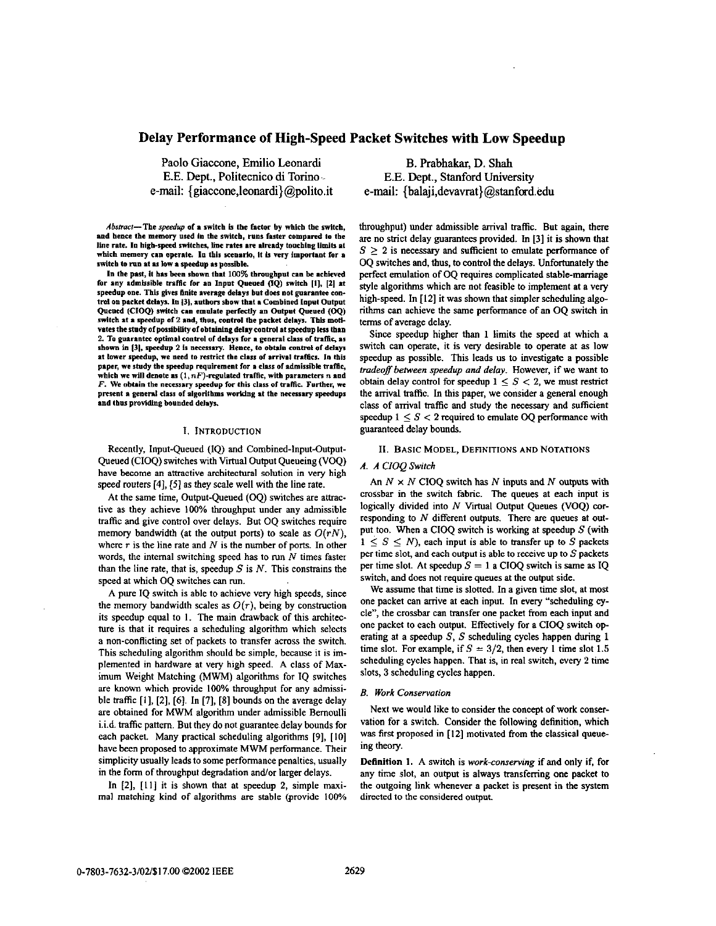# Delay Performance of High-Speed Packet Switches with Low Speedup

Paolo Giaccone, Emilio Leonardi E.E. Dept., Politecnico di Torino e-mail: {giaccone.leonardi}@polito.it

Abstract-The speedup of a switch is the factor by which the switch. and hence the memory used in the switch, runs faster compared to the line rate. In high-speed switches, line rates are already touching limits at which memory can operate. In this scenario, it is very important for a switch to run at as low a speedup as possible.

In the past, it has been shown that 100% throughput can be achieved for any admissible traffic for an Input Queued (IQ) switch [1], [2] at speedup one. This gives finite average delays but does not guarantee control on packet delays. In [3], authors show that a Combined Input Output Queued (CIOQ) switch can emulate perfectly an Output Queued (OQ) switch at a speedup of 2 and, thus, control the packet delays. This motivates the study of possibility of obtaining delay control at speedup less than 2. To guarantee optimal control of delays for a general class of traffic, as shown in [3], speedup 2 is necessary. Hence, to obtain control of delays at lower speedup, we need to restrict the class of arrival traffics. In this paper, we study the speedup requirement for a class of admissible traffic, which we will denote as  $(1, nF)$ -regulated traffic, with parameters  $n$  and  $F$ . We obtain the necessary speedup for this class of traffic. Further, we present a general class of algorithms working at the necessary speedups and thus providing bounded delays.

# I. INTRODUCTION

Recently, Input-Queued (IQ) and Combined-Input-Output-Queued (CIOQ) switches with Virtual Output Queueing (VOQ) have become an attractive architectural solution in very high speed routers [4], [5] as they scale well with the line rate.

At the same time, Output-Queued (OQ) switches are attractive as they achieve 100% throughput under any admissible traffic and give control over delays. But OQ switches require memory bandwidth (at the output ports) to scale as  $O(rN)$ , where  $r$  is the line rate and  $N$  is the number of ports. In other words, the internal switching speed has to run  $N$  times faster than the line rate, that is, speedup  $S$  is  $N$ . This constrains the speed at which OQ switches can run.

A pure IQ switch is able to achieve very high speeds, since the memory bandwidth scales as  $O(r)$ , being by construction its speedup equal to 1. The main drawback of this architecture is that it requires a scheduling algorithm which selects a non-conflicting set of packets to transfer across the switch. This scheduling algorithm should be simple, because it is implemented in hardware at very high speed. A class of Maximum Weight Matching (MWM) algorithms for IQ switches are known which provide 100% throughput for any admissible traffic  $[1]$ ,  $[2]$ ,  $[6]$ . In  $[7]$ ,  $[8]$  bounds on the average delay are obtained for MWM algorithm under admissible Bernoulli i.i.d. traffic pattern. But they do not guarantee delay bounds for each packet. Many practical scheduling algorithms [9], [10] have been proposed to approximate MWM performance. Their simplicity usually leads to some performance penalties, usually in the form of throughput degradation and/or larger delays.

In [2], [11] it is shown that at speedup 2, simple maximal matching kind of algorithms are stable (provide 100%

B. Prabhakar, D. Shah E.E. Dept., Stanford University e-mail: {balaji,devavrat}@stanford.edu

throughput) under admissible arrival traffic. But again, there are no strict delay guarantees provided. In [3] it is shown that  $S > 2$  is necessary and sufficient to emulate performance of OQ switches and, thus, to control the delays. Unfortunately the perfect emulation of OQ requires complicated stable-marriage style algorithms which are not feasible to implement at a very high-speed. In [12] it was shown that simpler scheduling algorithms can achieve the same performance of an OQ switch in terms of average delay.

Since speedup higher than 1 limits the speed at which a switch can operate, it is very desirable to operate at as low speedup as possible. This leads us to investigate a possible tradeoff between speedup and delay. However, if we want to obtain delay control for speedup  $1 \leq S < 2$ , we must restrict the arrival traffic. In this paper, we consider a general enough class of arrival traffic and study the necessary and sufficient speedup  $1 \leq S \leq 2$  required to emulate OQ performance with guaranteed delay bounds.

#### II. BASIC MODEL, DEFINITIONS AND NOTATIONS

## A. A CIOO Switch

An  $N \times N$  CIOQ switch has N inputs and N outputs with crossbar in the switch fabric. The queues at each input is logically divided into N Virtual Output Queues (VOQ) corresponding to  $N$  different outputs. There are queues at output too. When a CIOQ switch is working at speedup  $S$  (with  $1 \leq S \leq N$ , each input is able to transfer up to S packets per time slot, and each output is able to receive up to  $S$  packets per time slot. At speedup  $S = 1$  a CIOQ switch is same as IQ switch, and does not require queues at the output side.

We assume that time is slotted. In a given time slot, at most one packet can arrive at each input. In every "scheduling cycle", the crossbar can transfer one packet from each input and one packet to each output. Effectively for a CIOQ switch operating at a speedup  $S$ , S scheduling cycles happen during 1 time slot. For example, if  $S = 3/2$ , then every 1 time slot 1.5 scheduling cycles happen. That is, in real switch, every 2 time slots, 3 scheduling cycles happen.

#### **B.** Work Conservation

Next we would like to consider the concept of work conservation for a switch. Consider the following definition, which was first proposed in [12] motivated from the classical queueing theory.

Definition 1. A switch is work-conserving if and only if, for any time slot, an output is always transferring one packet to the outgoing link whenever a packet is present in the system directed to the considered output.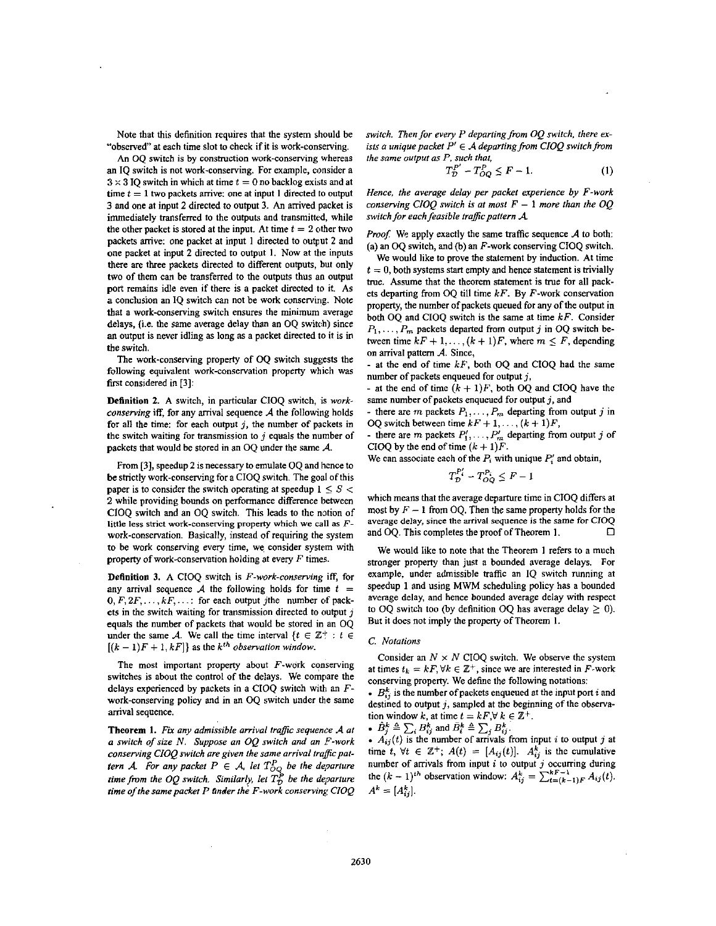Note that this definition requires that the system should he "observed" at each time slot to check if it is work-conserving.

An OO switch is by construction work-conserving whereas an IQ switch is not work-conserving, For example, consider a  $3 \times 3$  IQ switch in which at time  $t = 0$  no backlog exists and at time  $t = 1$  two packets arrive: one at input 1 directed to output 3 and one at input **2** directed to output 3. *An* arrived packet is immediately transferred to the outputs and transmitted, while the other packet is stored at the input. At time  $t = 2$  other two packets anive: one packet at input **1** directed to output **2** and one packet at input **2** directed to output **1.** Now at the inputs there **are** three packets directed to different outputs, but only two of them can be transferred to the outputs thus an output port remains idle even if there is a packet directed to it. As a conclusion an IQ switch can not be work conserving. Note that a work-conserving switch ensures the minimum average delays, (i.e. the same average delay than an OQ switch) since an output is never idling as long as a packet directed to it is in the switch.

The work-conserving property of OQ switch suggests the following equivalent work-conservation property which **was**  first considered in **[3]:** 

**Definition 2.** A switch, in particular CIOQ switch, is *workconserving* iff, for any arrival sequence *A* the following holds for all the time: for each output *j,* the number of packets in the switch waiting for transmission to  $j$  equals the number of packets that would be stored in an OQ under the same *A.* 

From **[3],** speedup **2** is necessary to emulate OQ and hcnce to be strictly work-conserving for a CIOQ switch. The god of this paper is to consider the switch operating at speedup  $1 \leq S$ **2** while providing bounds on performance difference between CIOQ switch and an OQ switch. This leads to the notion of little **less strict** work-conserving property which **we** call **as** *F*work-conservation. Basically, instead of requiring the system to be work conserving every time, we. consider system with property of work-conservation holding at every *F* times.

**Definition 3. A** CIOQ switch is *F-work-conserving* iff, for any arrival sequence  $A$  the following holds for time  $t =$  $f_1, f_2, \ldots, k, \ldots$ : for each output jthe number of packets in the switch waiting for transmission directed to output  $j$ equals the number of packets that would be stored in an OQ under the same *A*. We call the time interval  $\{t \in \mathbb{Z}^+ : t \in$  $[(k-1)F + 1, kF]$  as the *k*<sup>th</sup> observation window.

The most important property about  $F$ -work conserving switches is about the control of the delays. We compare the delays experienced by packets in a CIOQ switch with an Fwork-conserving policy and in an OQ switch under the same arrival sequence.

**Theorem 1.** *Fir any admissible arrival tragic sequence A at a switch of size N. Suppose an OQ switch and an ."work*  conserving CIOQ switch are given the same arrival traffic pat*tern A. For any packet*  $P \in A$ *, let*  $T_{OQ}^P$  *be the departure time from the OQ switch. Similarly, let*  $T_D^P$  *be the departure iime of the same parket P ander the F-work conserving CIOQ* 

*switch. Then for every P departing from OQ switch, there exists a unique packet*  $P' \in A$  *departing from CIOQ switch from the same output as P, such that,* 

$$
T_{\mathcal{D}}^{P'} - T_{OQ}^{P} \le F - 1. \tag{1}
$$

*Hence, the average delay per packet experience by F-work conserving CIOO switch is at most*  $F - 1$  *more than the OO switch for each feasible traffic pattern A*.

*Proof.* We apply exactly the same traffic sequence  $A$  to both: (a) an OQ switch, and (b) an  $F$ -work conserving CIOQ switch.

We would like to prove the statement by induction. At time  $t = 0$ , both systems start empty and hence statement is trivially true. Assume that the theorem statement is true for all packets departing from OQ till time  $kF$ . By  $F$ -work conservation property, the number of packets queued for any of the output in both OQ and CIOQ switch is the same at time *kF.* Consider  $P_1, \ldots, P_m$  packets departed from output j in OQ switch between time  $kF + 1, \ldots, (k + 1)F$ , where  $m \leq F$ , depending on arrival pattern A. Since,

- at the end of time *kF,* both OQ and CIOQ had the same number of packets enqueued for output *j,* 

- at the end of time  $(k + 1)F$ , both OQ and CIOQ have the same number of packets enqueued for output *j,* and

- there are m packets  $P_1, \ldots, P_m$  departing from output j in OO switch between time  $kF + 1, \ldots, (k + 1)F$ ,

- there are m packets  $P'_1, \ldots, P'_m$  departing from output j of CIOQ by the end of time  $(k + 1)F$ .

We can associate each of the  $P_i$  with unique  $P'_i$  and obtain,

$$
T^{P_i'}_{\mathcal{D}}-T^{P_i}_{OQ}\leq F-1
$$

which means that the average departure time in CIOQ differs at most by  $F-1$  from OO. Then the same property holds for the average delay, since the arrival sequence is the same for CIOQ *0*  and OQ. This completes the proof of Theorem **1.** 

We would like to note that the Theorem **1** refers to a much stronger property than just a bounded average delays. For example, under admissible traffic an IQ switch running at speedup 1 and using MWM scheduling policy has a bounded average delay, and hence bounded average delay with respect to OQ switch too (by definition OQ has average delay  $\geq$  0). But it does not imply the property of Theorem **1.** 

### *C. Notations*

Consider an  $N \times N$  CIOQ switch. We observe the system at times  $t_k = kF$ ,  $\forall k \in \mathbb{Z}^+$ , since we are interested in F-work conserving property. We define the following notations:

 $B_{ij}^k$  is the number of packets enqueued at the input port *i* and destined to output *j,* sampled at the beginning of the observation window *k*, at time  $t = kF, \forall k \in \mathbb{Z}^+$ .

$$
B_i^k \triangleq \sum_i B_{ij}^k \text{ and } B_i^k \triangleq \sum_i B_{ij}^k.
$$

•  $A_{ij}(t)$  is the number of arrivals from input *i* to output *j* at time t,  $\forall t \in \mathbb{Z}^+$ ;  $A(t) = [A_{ij}(t)]$ .  $A_{ij}^k$  is the cumulative number of arrivals from input *i* to output j occurring during the  $(k-1)^{th}$  observation window:  $A_{ij}^k = \sum_{t=(k-1)F}^{kF-1} A_{ij}(t)$ .  $A^k = [A_{ij}^k]$ .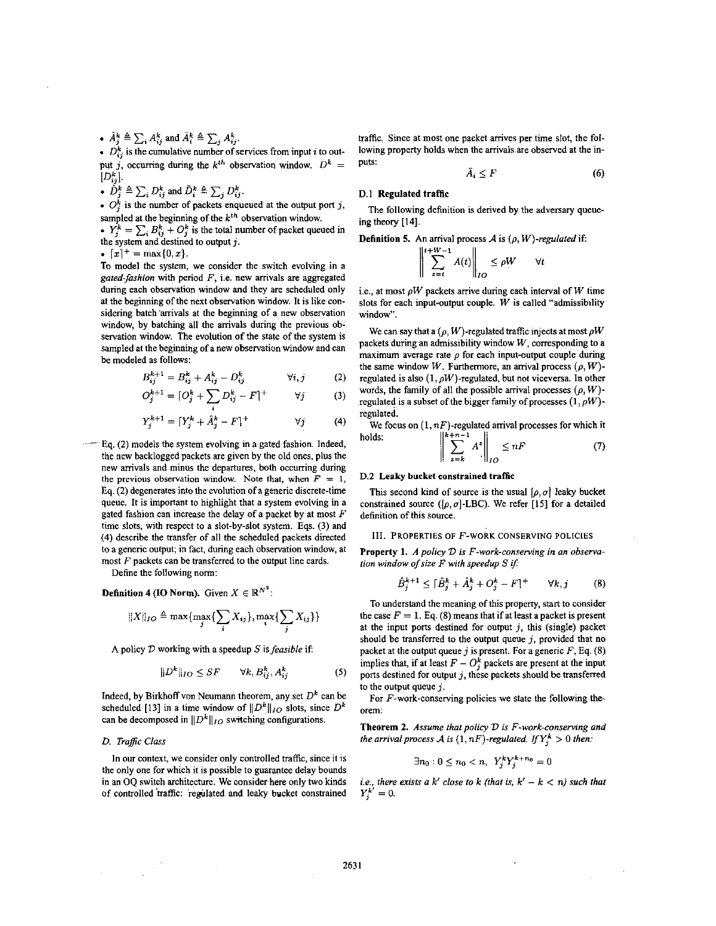$\hat{A}_i^k \triangleq \sum_i A_{ij}^k$  and  $\bar{A}_i^k \triangleq \sum_i A_{ij}^k$ .

 $D_{ij}^k$  is the cumulative number of services from input *i* to output *j*, occurring during the  $k^{th}$  observation window.  $D^k =$ 

 $[D_{ij}^k]$ .<br>
•  $\hat{D}_j^k \triangleq \sum_i D_{ij}^k$  and  $\bar{D}_i^k \triangleq \sum_j D_{ij}^k$ .

•  $O_i^k$  is the number of packets enqueued at the output port j, sampled at the beginning of the *kth* observation window.

•  $Y_i^k = \sum_i B_{ij}^k + O_i^k$  is the total number of packet queued in the system and destined to output *j*.<br>  $\bullet$   $[x]^+$  = max{0, *x*}.

To model the system, we consider the switch evolving in a gated-fashion with period  $F$ , i.e. new arrivals are aggregated during each observation window and they are scheduled only at the beginning of the next observation window. It is like considering batch 'arrivals at the beginning of a new observation window, by batching all the arrivals during the previous observation window. The evolution of the state of the system is sampled at the beginning of a new observation window and can be modeled as follows:

$$
B_{ij}^{k+1} = B_{ij}^{k} + A_{ij}^{k} - D_{ij}^{k} \qquad \forall i, j \qquad (2)
$$

$$
O_j^{k+1} = [O_j^k + \sum_j D_{ij}^k - F]^+ \qquad \forall j \qquad (3)
$$

$$
Y_j^{k+1} = \lceil Y_j^k + \hat{A}_j^k - F \rceil^+ \qquad \qquad \forall j \tag{4}
$$

- **Eq. (2)** models the system evolving in a gated fashion. Indeed, the new backlogged packets are given by the old ones, plus the new arrivals and minus the departures, both occurring during the previous observation window. Note that, when  $F = 1$ , **Eq. (2)** degenerates into the evolution of a generic discrete-time queue. It is important to highlight that a system evolving in a gated fashion can increase the delay of a packet by at most  $F$ time slots, with respect to a slot-by-slot system. **Eqs.** (3) and **(4)** describe the transfer of all the scheduled packets directed to a generic output; in fact, during each observation window, at most  $F$  packets can be transferred to the output line cards.

Define the following norm:

**Definition 4 (IO Norm).** Given  $X \in \mathbb{R}^{N^2}$ :

$$
||X||_{IO} \triangleq \max\{\max_{j}\{\sum_{i}X_{ij}\},\max_{i}\{\sum_{j}X_{ij}\}\}
$$

A policy *D* working with a speedup *S* is feasible if:

$$
||D^k||_{IO} \le SF \qquad \forall k, B^k_{ij}, A^k_{ij} \tag{5}
$$

Indeed, by Birkhoff von Neumann theorem, any set  $D^k$  can be scheduled [13] in a time window of  $||D^k||_{IO}$  slots, since  $D^k$ can be decomposed in  $||D^k||_{IO}$  switching configurations.

## **D.** Traffic Class

In our context, we consider only controlled traffic, since it is the only one for which it is possible to guarantee delay bounds in an OQ switch architecture. We consider here only two kinds of controlled traffic: regulated and leaky bucket constrained traffic. Since at most one packet arrives per time slot, the following property holds when the arrivals are observed at **the** inputs:

$$
\bar{A}_i \leq F \tag{6}
$$

### **D.l** Regulated traffic

ing theory **[14].**  The following definition is derived by the adversary queue-

**Definition 5.** An arrival process  $\mathcal A$  is  $(\rho, W)$ -regulated if: a arrival process  $\mathcal A$  is  $(\rho, W)$ -regularities.

$$
\left\| \sum_{t=t}^{t+W-1} A(t) \right\|_{IO} \le \rho W \qquad \forall t
$$

i.e., at most  $\rho W$  packets arrive during each interval of W time slots for each input-output couple.  $W$  is called "admissibility window".

We can say that a  $(\rho, W)$ -regulated traffic injects at most  $\rho W$ packets during an admissibility window *W,* corresponding to a maximum average rate  $\rho$  for each input-output couple during the same window *W*. Furthermore, an arrival process  $(\rho, W)$ regulated is also  $(1, \rho W)$ -regulated, but not viceversa. In other words, the family of all the possible arrival processes  $(\rho, W)$ regulated is a subset of the bigger family of processes  $(1, \rho W)$ regulated.

We focus on  $(1, n)$ -regulated arrival processes for which it lds:<br>lds:  $\frac{||k+n-1||}{||k+n-1||}$ holds:

$$
\left\| \sum_{z=k} A^z \right\|_{IO} \le nF \tag{7}
$$

### D.2 Leaky **bucket** constrained traffic

This second kind of source is the usual  $[\rho, \sigma]$  leaky bucket constrained source  $([\rho, \sigma]$ -LBC). We refer [15] for a detailed definition of this source.

# **III. PROPERTIES OF** F-WORK **CONSERVING POLICIES**

Property 1. *A policy D is F-work-conserving in an observa*tion window *ofsize* F with speedup *S i/;* 

$$
\hat{B}_j^{k+1} \leq \lceil \hat{B}_j^k + \hat{A}_j^k + O_j^k - F \rceil^+ \qquad \forall k, j \tag{8}
$$

To understand the meaning of this property, start to consider the case  $F = 1$ . Eq. (8) means that if at least a packet is present at the input ports destined for output *j,* this (single) packet should be transferred to the output queue  $j$ , provided that no packet at the output queue j is present. For a generic  $F$ , Eq. (8) implies that, if at least  $F - O_i^k$  packets are present at the input ports destined for output *j,* these packets should be transferred to the output queue  $j$ .

For  $F$ -work-conserving policies we state the following theorem:

Theorem **2.** Assume that policy *D is* F-work-conserving and the arrival process *A* is  $(1, nF)$ -regulated. *If*  $Y_i^k > 0$  then:

$$
\exists n_0 : 0 \le n_0 < n, \ Y_i^k Y_i^{k+n_0} = 0
$$

i.e., there exists a *k'* close to *k* (that is,  $k' - k < n$ ) such that  $Y_i^{k'} = 0$ .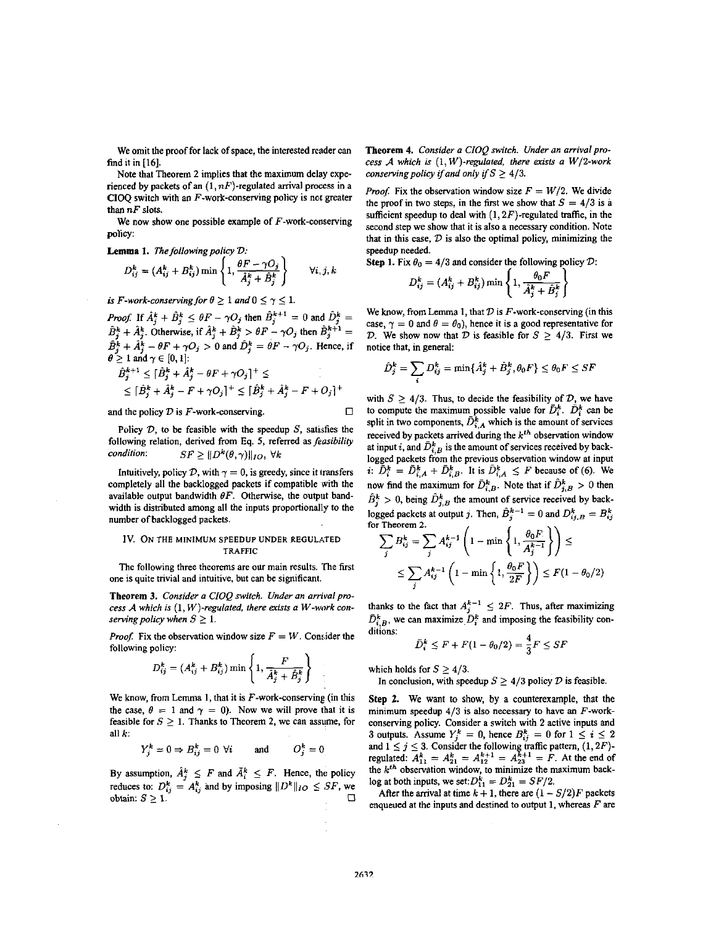We omit the proof for lack of space, the interested reader can find it in [16].

**Note** that Theorem 2 implies that the maximum delay experienced by packets of an  $(1, nF)$ -regulated arrival process in a **CIOQ** switch with an F-work-conserving policy is not greater than *nF* slots.

We now show one possible example of F-work-conserving policy:

Lemma 1. The following policy  $D$ :

$$
D_{ij}^k = (A_{ij}^k + B_{ij}^k) \min \left\{ 1, \frac{\theta F - \gamma O_j}{\hat{A}_j^k + \hat{B}_j^k} \right\} \qquad \forall i, j, k
$$

*is F-work-conserving for*  $\theta \geq 1$  *and*  $0 \leq \gamma \leq 1$ *.* 

*Proof:* If  $\hat{A}_{j}^{k} + \hat{B}_{j}^{k} \leq \theta F - \gamma O_{j}$  then  $\hat{B}_{j}^{k+1} = 0$  and  $\hat{D}_{j}^{k} = \hat{B}_{j}^{k} + \hat{A}_{j}^{k}$ . Otherwise, if  $\hat{A}_{j}^{k} + \hat{B}_{j}^{k} > \theta F - \gamma O_{j}$  then  $\hat{B}_{j}^{k+1} =$  $B_j^k + A_j^k - \theta F + \gamma O_j > 0$  and  $\hat{D}_j^k = \hat{\theta} F - \gamma O_j$ . Hence, if

$$
\theta \ge 1 \text{ and } \gamma \in [0, 1]:
$$
  
\n
$$
\hat{B}_j^{k+1} \le [\hat{B}_j^k + \hat{A}_j^k - \theta F + \gamma O_j]^+ \le
$$
  
\n
$$
\le [\hat{B}_j^k + \hat{A}_j^k - F + \gamma O_j]^+ \le [\hat{B}_j^k + \hat{A}_j^k - F + O_j]^+
$$

and the policy *D* is  $F$ -work-conserving.  $\Box$ 

Policy  $D$ , to be feasible with the speedup  $S$ , satisfies the following relation, derived from Eq. 5, referred as *feasibility* condition:  $SF \geq ||D^k(\theta, \gamma)||_{IO}, \forall k$ 

Intuitively, policy  $D$ , with  $\gamma = 0$ , is greedy, since it transfers completely all the backlogged packets if compatible with the available output bandwidth  $\theta F$ . Otherwise, the output bandwidth is distributed among all the inputs proportionally to the number of backlogged packets.

### Iv. **ON THE MINIMUM SPEEDUP UNDER REGULATED TRAFFIC**

The following three theorems are **ow** main results. 'fie first one is quite trivial and intuitive, but can be significant.

**Theorem 3.** Consider **o** CIOQ switch. Under *on* orrivolprocess A which is  $(1, W)$ -regulated, there exists a W-work conserving policy when  $S \geq 1$ .

*Proof.* Fix the observation window size  $F = W$ . Consider the following policy:

$$
D_{ij}^k = (A_{ij}^k + B_{ij}^k) \min \left\{ 1, \frac{F}{\hat{A}_j^k + \hat{B}_j^k} \right\}
$$

We know, from Lemma 1, that it is  $F$ -work-conserving (in this the case,  $\theta = 1$  and  $\gamma = 0$ ). Now we will prove that it is feasible for  $S \geq 1$ . Thanks to Theorem 2, we can assume, for all *k;* 

$$
Y_j^k = 0 \Rightarrow B_{ij}^k = 0 \ \forall i \qquad \text{and} \qquad O_j^k = 0
$$

By assumption,  $\tilde{A}_i^k \leq F$  and  $\tilde{A}_i^k \leq F$ . Hence, the policy reduces to:  $D_{ij}^k = A_{ij}^k$  and by imposing  $||D^k||_{IO} \leq SF$ , we  $\sum_{i=1}^{n}$  **1.**  $\sum_{i=1}^{n}$  **1.**  $\sum_{i=1}^{n}$  **1.**  $\sum_{i=1}^{n}$  **1.**  $\sum_{i=1}^{n}$ 

**Theorem 4.** Consider a CIOQ switch. Under an arrival process  $A$  which is  $(1, W)$ -regulated, there exists a  $W/2$ -work conserving policy if and only if  $S \geq 4/3$ .

*Proof.* Fix the observation window size  $F = W/2$ . We divide the proof in two steps, in the first we show that  $S = 4/3$  is a sufficient speedup to deal with  $(1,2F)$ -regulated traffic, in the second step we show that it is also a necessary condition. Note that in this case, *D* is also the optimal policy, minimizing the speedup needed.

**Step 1. Fix**  $\theta_0 = 4/3$  **and consider the following policy**  $\mathcal{D}$ **:** 

$$
D_{ij}^k = (A_{ij}^k + B_{ij}^k) \min \left\{ 1, \frac{\theta_0 F}{\hat{A}_j^k + \hat{B}_j^k} \right\}
$$

We know, from Lemma 1, that  $D$  is  $F$ -work-conserving (in this case,  $\gamma = 0$  and  $\theta = \theta_0$ ), hence it is a good representative for *D.* We show now that *D* is feasible for  $S \geq 4/3$ . First we notice that, in general:

$$
\hat{D}_j^k = \sum_i D_{ij}^k = \min\{\hat{A}_j^k + \hat{B}_j^k, \theta_0 F\} \leq \theta_0 F \leq SF
$$

with  $S > 4/3$ . Thus, to decide the feasibility of *D*, we have to compute the maximum possible value for  $\bar{D}_{i}^{k}$ .  $\bar{D}_{i}^{k}$  can be split in two components,  $\bar{D}_{A}^{k}$  which is the amount of services received by packets arrived during the *k'"* observation window at input *i*, and  $\bar{D}_{i,B}^k$  is the amount of services received by backlogged packets from the previous observation window at input i:  $\bar{D}_i^k = \bar{D}_{i,A}^k + \bar{D}_{i,B}^k$ . It is  $\bar{D}_{i,A}^k \leq F$  because of (6). We now find the maximum for  $\bar{D}_{i,B}^k$ . Note that if  $\hat{D}_{j,B}^k > 0$  then  $\hat{B}_{i}^{k} > 0$ , being  $\hat{D}_{i,B}^{k}$  the amount of service received by backlogged packets at output j. Then,  $\hat{B}_j^{k-1} = 0$  and  $D_{ij,B}^k = B_{ij}^k$  for Theorem 2. for Theorem *2.* 

$$
\sum_{j} B_{ij}^{k} = \sum_{j} A_{ij}^{k-1} \left( 1 - \min \left\{ 1, \frac{\theta_0 F}{A_j^{k-1}} \right\} \right) \le
$$
  

$$
\le \sum_{j} A_{ij}^{k-1} \left( 1 - \min \left\{ 1, \frac{\theta_0 F}{2F} \right\} \right) \le F(1 - \theta_0/2)
$$

thanks to the fact that  $A_j^{k-1} \leq 2F$ . Thus, after maximizing  $\bar{D}_{i,B}^k$ , we can maximize  $\bar{D}_i^k$  and imposing the feasibility conditions:

$$
\bar{D}_i^k \leq F + F(1 - \theta_0/2) = \frac{4}{3}F \leq SF
$$

which holds for  $S \geq 4/3$ .

In conclusion, with speedup  $S \geq 4/3$  policy  $D$  is feasible.

**Step 2.** We want to show, **by** a counterexample, that the minimum speedup  $4/3$  is also necessary to have an F-workconserving policy. Consider a switch with 2 active inputs and 3 outputs. Assume  $Y_j^k = 0$ , hence  $B_{ij}^k = 0$  for  $1 \le i \le 2$ and  $1 \le j \le 3$ . Consider the following traffic pattern,  $(1, 2F)$ regulated:  $A_{11}^k = A_{21}^k = A_{12}^{k+1} = A_{23}^{k+1} = F$ . At the end of the *k'"* observation window, to minimize the maximum backlog at both inputs, we set:  $D_{11}^{k} = D_{21}^{k} = SF/2$ . **f** 

After the arrival at time  $k + 1$ , there are  $(1 - S/2)F$  packets enqueued at the inputs and destined to output 1, whereas  $F$  are